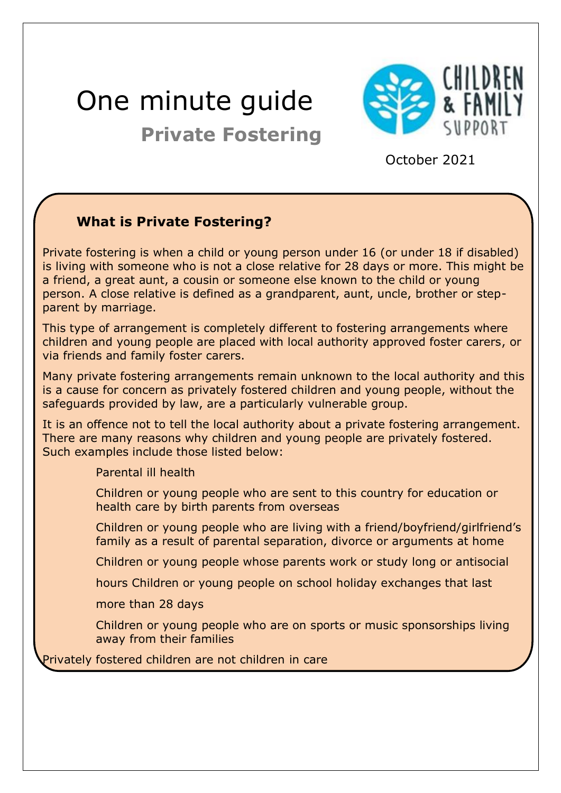# One minute guide **Private Fostering**



October <sup>2021</sup>

# **What is Private Fostering?**

Private fostering is when a child or young person under 16 (or under 18 if disabled) is living with someone who is not a close relative for 28 days or more. This might be a friend, a great aunt, a cousin or someone else known to the child or young person. A close relative is defined as a grandparent, aunt, uncle, brother or stepparent by marriage.

This type of arrangement is completely different to fostering arrangements where children and young people are placed with local authority approved foster carers, or via friends and family foster carers.

Many private fostering arrangements remain unknown to the local authority and this is a cause for concern as privately fostered children and young people, without the safeguards provided by law, are a particularly vulnerable group.

It is an offence not to tell the local authority about a private fostering arrangement. There are many reasons why children and young people are privately fostered. Such examples include those listed below:

Parental ill health

- Children or young people who are sent to this country for education or health care by birth parents from overseas
- Children or young people who are living with a friend/boyfriend/girlfriend's family as a result of parental separation, divorce or arguments at home

Children or young people whose parents work or study long or antisocial

hours Children or young people on school holiday exchanges that last

more than 28 days

Children or young people who are on sports or music sponsorships living away from their families

Privately fostered children are not children in care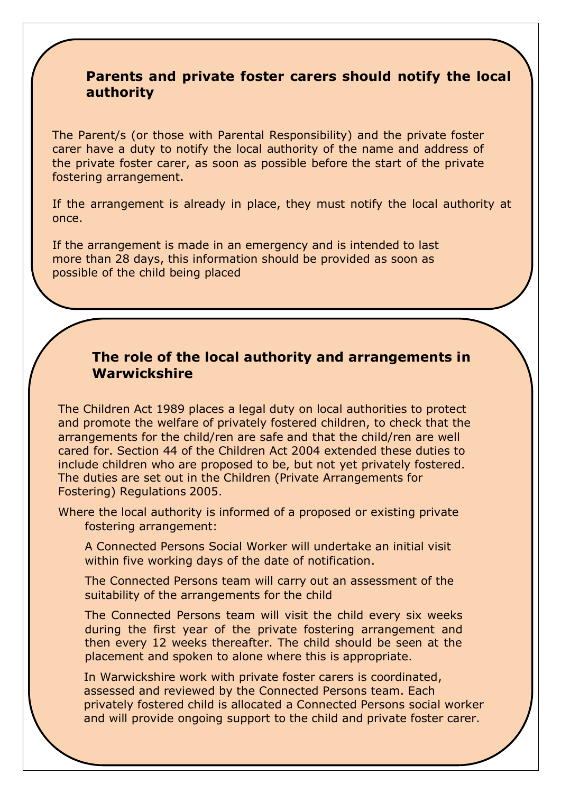#### **Parents and private foster carers should notify the local authority**

The Parent/s (or those with Parental Responsibility) and the private foster carer have a duty to notify the local authority of the name and address of the private foster carer, as soon as possible before the start of the private fostering arrangement.

If the arrangement is already in place, they must notify the local authority at once.

If the arrangement is made in an emergency and is intended to last more than 28 days, this information should be provided as soon as possible of the child being placed

#### **The role of the local authority and arrangements in Warwickshire**

The Children Act 1989 places a legal duty on local authorities to protect and promote the welfare of privately fostered children, to check that the arrangements for the child/ren are safe and that the child/ren are well cared for. Section 44 of the Children Act 2004 extended these duties to include children who are proposed to be, but not yet privately fostered. The duties are set out in the Children (Private Arrangements for Fostering) Regulations 2005.

Where the local authority is informed of a proposed or existing private fostering arrangement:

A Connected Persons Social Worker will undertake an initial visit within five working days of the date of notification.

The Connected Persons team will carry out an assessment of the suitability of the arrangements for the child

The Connected Persons team will visit the child every six weeks during the first year of the private fostering arrangement and then every 12 weeks thereafter. The child should be seen at the placement and spoken to alone where this is appropriate.

In Warwickshire work with private foster carers is coordinated, assessed and reviewed by the Connected Persons team. Each privately fostered child is allocated a Connected Persons social worker and will provide ongoing support to the child and private foster carer.